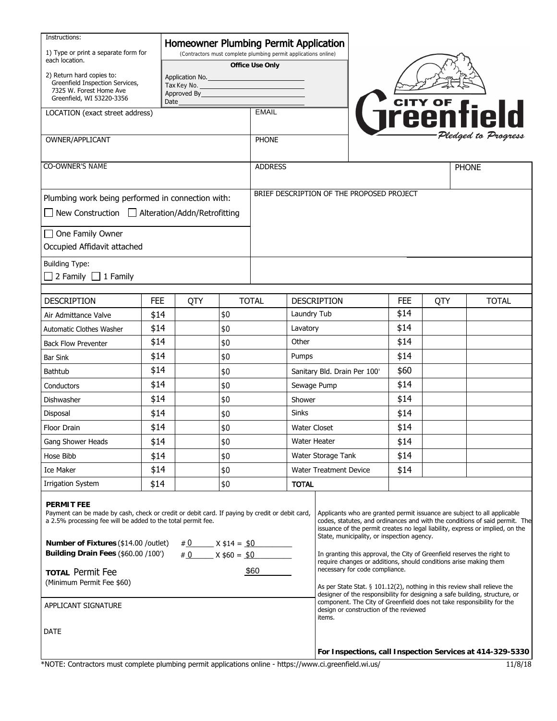| Instructions:<br>1) Type or print a separate form for                                                                                                                                                                                                                                                          |            |                                                                                    |     | Homeowner Plumbing Permit Application     |                                                           |                                                                                                                                                                                                                                                                                                                                                                   |                                                                   |     |              |
|----------------------------------------------------------------------------------------------------------------------------------------------------------------------------------------------------------------------------------------------------------------------------------------------------------------|------------|------------------------------------------------------------------------------------|-----|-------------------------------------------|-----------------------------------------------------------|-------------------------------------------------------------------------------------------------------------------------------------------------------------------------------------------------------------------------------------------------------------------------------------------------------------------------------------------------------------------|-------------------------------------------------------------------|-----|--------------|
| each location.                                                                                                                                                                                                                                                                                                 |            | (Contractors must complete plumbing permit applications online)<br>Office Use Only |     |                                           |                                                           |                                                                                                                                                                                                                                                                                                                                                                   |                                                                   |     |              |
| 2) Return hard copies to:<br>Application No.<br>Greenfield Inspection Services,<br>Tax Key No.<br>7325 W. Forest Home Ave<br>Approved By<br>Greenfield, WI 53220-3356<br>Date                                                                                                                                  |            |                                                                                    |     |                                           |                                                           |                                                                                                                                                                                                                                                                                                                                                                   |                                                                   |     |              |
| LOCATION (exact street address)                                                                                                                                                                                                                                                                                |            |                                                                                    |     | <b>Treenfield</b><br><b>EMAIL</b>         |                                                           |                                                                                                                                                                                                                                                                                                                                                                   |                                                                   |     |              |
| OWNER/APPLICANT                                                                                                                                                                                                                                                                                                |            |                                                                                    |     | <b>PHONE</b>                              |                                                           |                                                                                                                                                                                                                                                                                                                                                                   |                                                                   |     |              |
| CO-OWNER'S NAME                                                                                                                                                                                                                                                                                                |            |                                                                                    |     | <b>ADDRESS</b>                            |                                                           |                                                                                                                                                                                                                                                                                                                                                                   |                                                                   |     | <b>PHONE</b> |
| Plumbing work being performed in connection with:                                                                                                                                                                                                                                                              |            |                                                                                    |     | BRIEF DESCRIPTION OF THE PROPOSED PROJECT |                                                           |                                                                                                                                                                                                                                                                                                                                                                   |                                                                   |     |              |
| $\Box$ New Construction $\Box$ Alteration/Addn/Retrofitting                                                                                                                                                                                                                                                    |            |                                                                                    |     |                                           |                                                           |                                                                                                                                                                                                                                                                                                                                                                   |                                                                   |     |              |
| One Family Owner                                                                                                                                                                                                                                                                                               |            |                                                                                    |     |                                           |                                                           |                                                                                                                                                                                                                                                                                                                                                                   |                                                                   |     |              |
| Occupied Affidavit attached                                                                                                                                                                                                                                                                                    |            |                                                                                    |     |                                           |                                                           |                                                                                                                                                                                                                                                                                                                                                                   |                                                                   |     |              |
| <b>Building Type:</b><br>$\Box$ 2 Family $\Box$ 1 Family                                                                                                                                                                                                                                                       |            |                                                                                    |     |                                           |                                                           |                                                                                                                                                                                                                                                                                                                                                                   |                                                                   |     |              |
| <b>DESCRIPTION</b>                                                                                                                                                                                                                                                                                             | <b>FEE</b> | QTY                                                                                |     | <b>TOTAL</b>                              |                                                           | <b>DESCRIPTION</b>                                                                                                                                                                                                                                                                                                                                                | FEE                                                               | QTY | <b>TOTAL</b> |
| Air Admittance Valve                                                                                                                                                                                                                                                                                           | \$14       |                                                                                    | \$0 |                                           | Laundry Tub                                               |                                                                                                                                                                                                                                                                                                                                                                   | \$14                                                              |     |              |
| Automatic Clothes Washer                                                                                                                                                                                                                                                                                       | \$14       |                                                                                    | \$0 |                                           | Lavatory                                                  |                                                                                                                                                                                                                                                                                                                                                                   | \$14                                                              |     |              |
| <b>Back Flow Preventer</b>                                                                                                                                                                                                                                                                                     | \$14       |                                                                                    | \$0 |                                           | Other                                                     |                                                                                                                                                                                                                                                                                                                                                                   | \$14                                                              |     |              |
| <b>Bar Sink</b>                                                                                                                                                                                                                                                                                                | \$14       |                                                                                    | \$0 |                                           | Pumps                                                     |                                                                                                                                                                                                                                                                                                                                                                   | \$14                                                              |     |              |
| Bathtub                                                                                                                                                                                                                                                                                                        | \$14       |                                                                                    | \$0 |                                           |                                                           | Sanitary Bld. Drain Per 100'                                                                                                                                                                                                                                                                                                                                      | \$60                                                              |     |              |
| Conductors                                                                                                                                                                                                                                                                                                     | \$14       |                                                                                    | \$0 |                                           | Sewage Pump                                               |                                                                                                                                                                                                                                                                                                                                                                   | \$14                                                              |     |              |
| Dishwasher                                                                                                                                                                                                                                                                                                     | \$14       |                                                                                    | \$0 |                                           | Shower                                                    |                                                                                                                                                                                                                                                                                                                                                                   | \$14                                                              |     |              |
| Disposal                                                                                                                                                                                                                                                                                                       | \$14       |                                                                                    | \$0 |                                           | <b>Sinks</b>                                              |                                                                                                                                                                                                                                                                                                                                                                   | \$14                                                              |     |              |
| Floor Drain                                                                                                                                                                                                                                                                                                    | \$14       |                                                                                    | \$0 |                                           | <b>Water Closet</b>                                       |                                                                                                                                                                                                                                                                                                                                                                   | \$14                                                              |     |              |
| Gang Shower Heads                                                                                                                                                                                                                                                                                              | \$14       |                                                                                    | \$0 |                                           | Water Heater                                              |                                                                                                                                                                                                                                                                                                                                                                   | \$14                                                              |     |              |
| Hose Bibb                                                                                                                                                                                                                                                                                                      | \$14       |                                                                                    | \$0 |                                           | Water Storage Tank                                        |                                                                                                                                                                                                                                                                                                                                                                   | \$14                                                              |     |              |
| <b>Ice Maker</b>                                                                                                                                                                                                                                                                                               | \$14       |                                                                                    | \$0 |                                           | <b>Water Treatment Device</b>                             |                                                                                                                                                                                                                                                                                                                                                                   | \$14                                                              |     |              |
| Irrigation System                                                                                                                                                                                                                                                                                              | \$14       |                                                                                    | \$0 | <b>TOTAL</b>                              |                                                           |                                                                                                                                                                                                                                                                                                                                                                   |                                                                   |     |              |
| <b>PERMIT FEE</b><br>Payment can be made by cash, check or credit or debit card. If paying by credit or debit card,<br>a 2.5% processing fee will be added to the total permit fee.<br>Number of Fixtures (\$14.00 /outlet)<br>$# 0$ $X $14 = $0$<br>Building Drain Fees (\$60.00 /100')<br>$# 0$ $X $60 = $0$ |            |                                                                                    |     |                                           |                                                           | Applicants who are granted permit issuance are subject to all applicable<br>codes, statutes, and ordinances and with the conditions of said permit. The<br>issuance of the permit creates no legal liability, express or implied, on the<br>State, municipality, or inspection agency.<br>In granting this approval, the City of Greenfield reserves the right to |                                                                   |     |              |
|                                                                                                                                                                                                                                                                                                                |            |                                                                                    |     |                                           |                                                           |                                                                                                                                                                                                                                                                                                                                                                   | require changes or additions, should conditions arise making them |     |              |
| <b>TOTAL Permit Fee</b><br>(Minimum Permit Fee \$60)                                                                                                                                                                                                                                                           |            |                                                                                    |     | \$60                                      | necessary for code compliance.                            |                                                                                                                                                                                                                                                                                                                                                                   |                                                                   |     |              |
| APPLICANT SIGNATURE                                                                                                                                                                                                                                                                                            |            |                                                                                    |     |                                           |                                                           | As per State Stat. $\S$ 101.12(2), nothing in this review shall relieve the<br>designer of the responsibility for designing a safe building, structure, or<br>component. The City of Greenfield does not take responsibility for the<br>design or construction of the reviewed<br>items.                                                                          |                                                                   |     |              |
| <b>DATE</b>                                                                                                                                                                                                                                                                                                    |            |                                                                                    |     |                                           |                                                           |                                                                                                                                                                                                                                                                                                                                                                   |                                                                   |     |              |
|                                                                                                                                                                                                                                                                                                                |            |                                                                                    |     |                                           | For Inspections, call Inspection Services at 414-329-5330 |                                                                                                                                                                                                                                                                                                                                                                   |                                                                   |     |              |

\*NOTE: Contractors must complete plumbing permit applications online - https://www.ci.greenfield.wi.us/